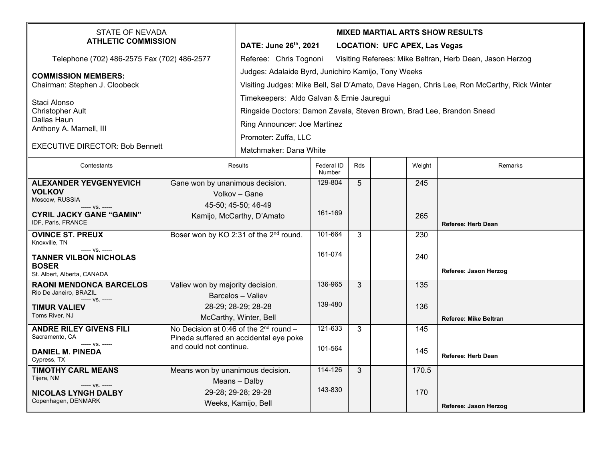| <b>STATE OF NEVADA</b><br><b>ATHLETIC COMMISSION</b>             |                                                                                       | <b>MIXED MARTIAL ARTS SHOW RESULTS</b><br>DATE: June 26th, 2021<br><b>LOCATION: UFC APEX, Las Vegas</b>                                          |                      |     |  |        |                              |  |
|------------------------------------------------------------------|---------------------------------------------------------------------------------------|--------------------------------------------------------------------------------------------------------------------------------------------------|----------------------|-----|--|--------|------------------------------|--|
| Telephone (702) 486-2575 Fax (702) 486-2577                      |                                                                                       | Referee: Chris Tognoni<br>Visiting Referees: Mike Beltran, Herb Dean, Jason Herzog                                                               |                      |     |  |        |                              |  |
| <b>COMMISSION MEMBERS:</b><br>Chairman: Stephen J. Cloobeck      |                                                                                       | Judges: Adalaide Byrd, Junichiro Kamijo, Tony Weeks<br>Visiting Judges: Mike Bell, Sal D'Amato, Dave Hagen, Chris Lee, Ron McCarthy, Rick Winter |                      |     |  |        |                              |  |
| Staci Alonso                                                     |                                                                                       | Timekeepers: Aldo Galvan & Ernie Jauregui                                                                                                        |                      |     |  |        |                              |  |
| <b>Christopher Ault</b><br>Dallas Haun                           |                                                                                       | Ringside Doctors: Damon Zavala, Steven Brown, Brad Lee, Brandon Snead                                                                            |                      |     |  |        |                              |  |
| Anthony A. Marnell, III                                          |                                                                                       | Ring Announcer: Joe Martinez                                                                                                                     |                      |     |  |        |                              |  |
| <b>EXECUTIVE DIRECTOR: Bob Bennett</b>                           |                                                                                       | Promoter: Zuffa, LLC                                                                                                                             |                      |     |  |        |                              |  |
|                                                                  |                                                                                       | Matchmaker: Dana White                                                                                                                           |                      |     |  |        |                              |  |
| Contestants                                                      |                                                                                       | Results                                                                                                                                          | Federal ID<br>Number | Rds |  | Weight | Remarks                      |  |
| <b>ALEXANDER YEVGENYEVICH</b><br>Gane won by unanimous decision. |                                                                                       |                                                                                                                                                  | 129-804              | 5   |  | 245    |                              |  |
| <b>VOLKOV</b><br>Moscow, RUSSIA                                  |                                                                                       | Volkov - Gane                                                                                                                                    |                      |     |  |        |                              |  |
| $--- VS$ . $---$<br><b>CYRIL JACKY GANE "GAMIN"</b>              |                                                                                       | 45-50; 45-50; 46-49                                                                                                                              | 161-169              |     |  |        |                              |  |
| IDF, Paris, FRANCE                                               | Kamijo, McCarthy, D'Amato                                                             |                                                                                                                                                  |                      |     |  | 265    | <b>Referee: Herb Dean</b>    |  |
| <b>OVINCE ST. PREUX</b><br>Knoxville, TN                         | Boser won by KO 2:31 of the 2 <sup>nd</sup> round.                                    |                                                                                                                                                  | 101-664              | 3   |  | 230    |                              |  |
| ----- VS. -----<br><b>TANNER VILBON NICHOLAS</b>                 |                                                                                       |                                                                                                                                                  | 161-074              |     |  | 240    |                              |  |
| <b>BOSER</b><br>St. Albert, Alberta, CANADA                      |                                                                                       |                                                                                                                                                  |                      |     |  |        | Referee: Jason Herzog        |  |
| <b>RAONI MENDONCA BARCELOS</b>                                   | Valiev won by majority decision.                                                      |                                                                                                                                                  | 136-965              | 3   |  | 135    |                              |  |
| Rio De Janeiro, BRAZIL<br>----- VS. -----                        | Barcelos - Valiev                                                                     |                                                                                                                                                  | 139-480              |     |  |        |                              |  |
| <b>TIMUR VALIEV</b><br>Toms River, NJ                            | 28-29; 28-29; 28-28<br>McCarthy, Winter, Bell                                         |                                                                                                                                                  |                      |     |  | 136    |                              |  |
| <b>ANDRE RILEY GIVENS FILI</b>                                   |                                                                                       |                                                                                                                                                  | 121-633              | 3   |  | 145    | <b>Referee: Mike Beltran</b> |  |
| Sacramento, CA                                                   | No Decision at 0:46 of the $2^{nd}$ round -<br>Pineda suffered an accidental eye poke |                                                                                                                                                  |                      |     |  |        |                              |  |
| $--- VS. ---$<br><b>DANIEL M. PINEDA</b><br>Cypress, TX          | and could not continue.                                                               |                                                                                                                                                  | 101-564              |     |  | 145    | <b>Referee: Herb Dean</b>    |  |
| <b>TIMOTHY CARL MEANS</b>                                        |                                                                                       | Means won by unanimous decision.                                                                                                                 |                      | 3   |  | 170.5  |                              |  |
| Tijera, NM<br>$--- VS. ---$                                      |                                                                                       | Means - Dalby                                                                                                                                    |                      |     |  |        |                              |  |
| <b>NICOLAS LYNGH DALBY</b>                                       | 29-28; 29-28; 29-28                                                                   |                                                                                                                                                  | 143-830              |     |  | 170    |                              |  |
| Copenhagen, DENMARK                                              |                                                                                       | Weeks, Kamijo, Bell                                                                                                                              |                      |     |  |        | Referee: Jason Herzog        |  |